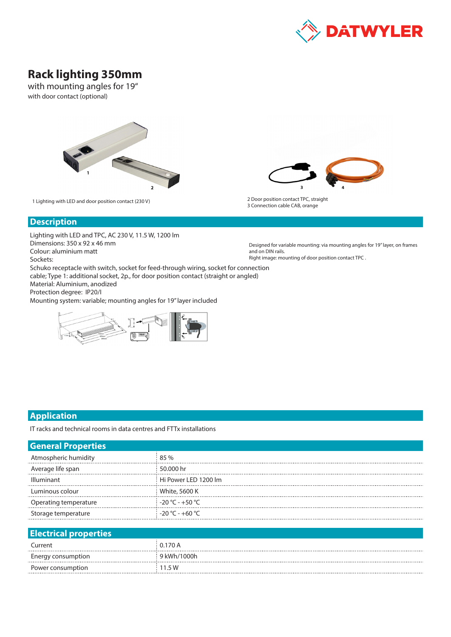

# **Rack lighting 350mm**

with mounting angles for 19" with door contact (optional)



1 Lighting with LED and door position contact (230 V) 2 Door position contact TPC, straight



Designed for variable mounting: via mounting angles for 19" layer, on frames

Right image: mounting of door position contact TPC .

3 Connection cable CAB, orange

and on DIN rails.

### **Description**

Lighting with LED and TPC, AC 230 V, 11.5 W, 1200 lm Dimensions: 350 x 92 x 46 mm Colour: aluminium matt Sockets: Schuko receptacle with switch, socket for feed-through wiring, socket for connection

cable; Type 1: additional socket, 2p., for door position contact (straight or angled)

Material: Aluminium, anodized

Protection degree: IP20/I

Mounting system: variable; mounting angles for 19" layer included



## **Application**

IT racks and technical rooms in data centres and FTTx installations

Power consumption 11.5 W

| <b>General Properties</b>    |                      |
|------------------------------|----------------------|
| Atmospheric humidity         | 85 %                 |
| Average life span            | 50.000 hr            |
| Illuminant                   | Hi Power LED 1200 lm |
| Luminous colour              | White, 5600 K        |
| Operating temperature        | $-20$ °C - $+50$ °C  |
| Storage temperature          | $-20 °C - +60 °C$    |
|                              |                      |
| <b>Electrical properties</b> |                      |
| Current                      | 0.170A               |
| Energy consumption           | 9 kWh/1000h          |